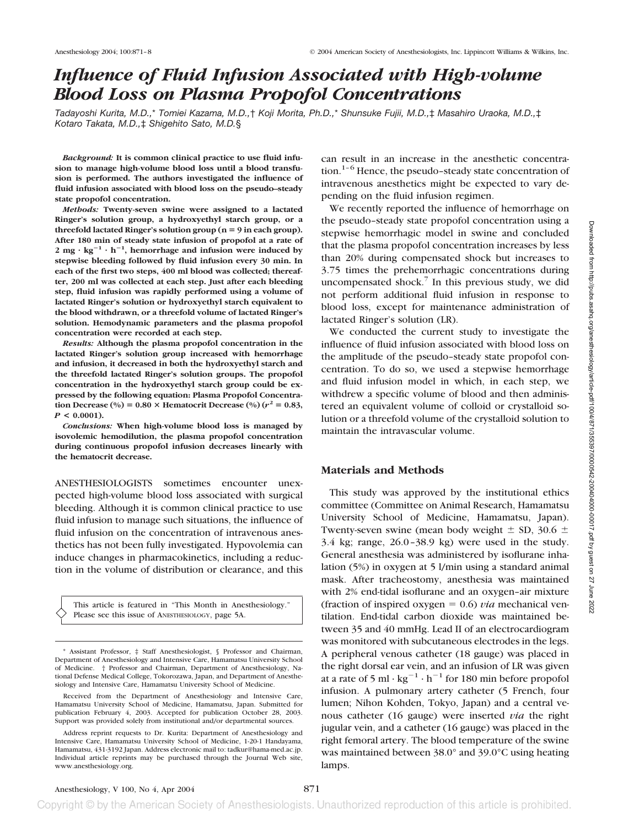# *Influence of Fluid Infusion Associated with High-volume Blood Loss on Plasma Propofol Concentrations*

*Tadayoshi Kurita, M.D.,*\* *Tomiei Kazama, M.D.,*† *Koji Morita, Ph.D.,*\* *Shunsuke Fujii, M.D.,*‡ *Masahiro Uraoka, M.D.,*‡ *Kotaro Takata, M.D.,*‡ *Shigehito Sato, M.D.*§

*Background:* **It is common clinical practice to use fluid infusion to manage high-volume blood loss until a blood transfusion is performed. The authors investigated the influence of fluid infusion associated with blood loss on the pseudo–steady state propofol concentration.**

*Methods:* **Twenty-seven swine were assigned to a lactated Ringer's solution group, a hydroxyethyl starch group, or a** threefold lactated Ringer's solution group  $(n = 9$  in each group). **After 180 min of steady state infusion of propofol at a rate of** 2 mg  $\cdot$  kg<sup>-1</sup>  $\cdot$  h<sup>-1</sup>, hemorrhage and infusion were induced by **stepwise bleeding followed by fluid infusion every 30 min. In each of the first two steps, 400 ml blood was collected; thereafter, 200 ml was collected at each step. Just after each bleeding step, fluid infusion was rapidly performed using a volume of lactated Ringer's solution or hydroxyethyl starch equivalent to the blood withdrawn, or a threefold volume of lactated Ringer's solution. Hemodynamic parameters and the plasma propofol concentration were recorded at each step.**

*Results:* **Although the plasma propofol concentration in the lactated Ringer's solution group increased with hemorrhage and infusion, it decreased in both the hydroxyethyl starch and the threefold lactated Ringer's solution groups. The propofol concentration in the hydroxyethyl starch group could be expressed by the following equation: Plasma Propofol Concentration Decrease** (%) =  $0.80 \times$  **Hematocrit Decrease** (%) ( $r^2 = 0.83$ , *P* **< 0.0001).**

*Conclusions:* **When high-volume blood loss is managed by isovolemic hemodilution, the plasma propofol concentration during continuous propofol infusion decreases linearly with the hematocrit decrease.**

ANESTHESIOLOGISTS sometimes encounter unexpected high-volume blood loss associated with surgical bleeding. Although it is common clinical practice to use fluid infusion to manage such situations, the influence of fluid infusion on the concentration of intravenous anesthetics has not been fully investigated. Hypovolemia can induce changes in pharmacokinetics, including a reduction in the volume of distribution or clearance, and this

This article is featured in "This Month in Anesthesiology." Please see this issue of ANESTHESIOLOGY, page 5A.

can result in an increase in the anesthetic concentration.<sup>1–6</sup> Hence, the pseudo–steady state concentration of intravenous anesthetics might be expected to vary depending on the fluid infusion regimen.

We recently reported the influence of hemorrhage on the pseudo–steady state propofol concentration using a stepwise hemorrhagic model in swine and concluded that the plasma propofol concentration increases by less than 20% during compensated shock but increases to 3.75 times the prehemorrhagic concentrations during uncompensated shock.<sup>7</sup> In this previous study, we did not perform additional fluid infusion in response to blood loss, except for maintenance administration of lactated Ringer's solution (LR).

We conducted the current study to investigate the influence of fluid infusion associated with blood loss on the amplitude of the pseudo–steady state propofol concentration. To do so, we used a stepwise hemorrhage and fluid infusion model in which, in each step, we withdrew a specific volume of blood and then administered an equivalent volume of colloid or crystalloid solution or a threefold volume of the crystalloid solution to maintain the intravascular volume.

## **Materials and Methods**

This study was approved by the institutional ethics committee (Committee on Animal Research, Hamamatsu University School of Medicine, Hamamatsu, Japan). Twenty-seven swine (mean body weight  $\pm$  SD, 30.6  $\pm$ 3.4 kg; range, 26.0–38.9 kg) were used in the study. General anesthesia was administered by isoflurane inhalation (5%) in oxygen at 5 l/min using a standard animal mask. After tracheostomy, anesthesia was maintained with 2% end-tidal isoflurane and an oxygen–air mixture (fraction of inspired oxygen  $= 0.6$ ) *via* mechanical ventilation. End-tidal carbon dioxide was maintained between 35 and 40 mmHg. Lead II of an electrocardiogram was monitored with subcutaneous electrodes in the legs. A peripheral venous catheter (18 gauge) was placed in the right dorsal ear vein, and an infusion of LR was given at a rate of 5 ml  $\cdot$  kg<sup>-1</sup>  $\cdot$  h<sup>-1</sup> for 180 min before propofol infusion. A pulmonary artery catheter (5 French, four lumen; Nihon Kohden, Tokyo, Japan) and a central venous catheter (16 gauge) were inserted *via* the right jugular vein, and a catheter (16 gauge) was placed in the right femoral artery. The blood temperature of the swine was maintained between 38.0° and 39.0°C using heating lamps.

<sup>\*</sup> Assistant Professor, ‡ Staff Anesthesiologist, § Professor and Chairman, Department of Anesthesiology and Intensive Care, Hamamatsu University School of Medicine. † Professor and Chairman, Department of Anesthesiology, National Defense Medical College, Tokorozawa, Japan, and Department of Anesthesiology and Intensive Care, Hamamatsu University School of Medicine.

Received from the Department of Anesthesiology and Intensive Care, Hamamatsu University School of Medicine, Hamamatsu, Japan. Submitted for publication February 4, 2003. Accepted for publication October 28, 2003. Support was provided solely from institutional and/or departmental sources.

Address reprint requests to Dr. Kurita: Department of Anesthesiology and Intensive Care, Hamamatsu University School of Medicine, 1-20-1 Handayama, Hamamatsu, 431-3192 Japan. Address electronic mail to: tadkur@hama-med.ac.jp. Individual article reprints may be purchased through the Journal Web site, www.anesthesiology.org.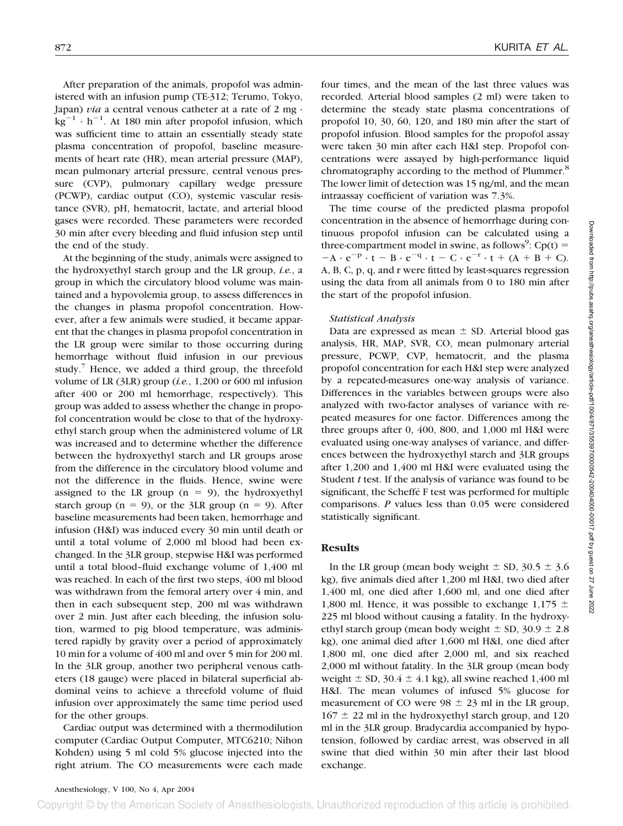After preparation of the animals, propofol was administered with an infusion pump (TE-312; Terumo, Tokyo, Japan) *via* a central venous catheter at a rate of 2 mg ·  $kg^{-1} \cdot h^{-1}$ . At 180 min after propofol infusion, which was sufficient time to attain an essentially steady state plasma concentration of propofol, baseline measurements of heart rate (HR), mean arterial pressure (MAP), mean pulmonary arterial pressure, central venous pressure (CVP), pulmonary capillary wedge pressure (PCWP), cardiac output (CO), systemic vascular resistance (SVR), pH, hematocrit, lactate, and arterial blood gases were recorded. These parameters were recorded 30 min after every bleeding and fluid infusion step until the end of the study.

At the beginning of the study, animals were assigned to the hydroxyethyl starch group and the LR group, *i.e.*, a group in which the circulatory blood volume was maintained and a hypovolemia group, to assess differences in the changes in plasma propofol concentration. However, after a few animals were studied, it became apparent that the changes in plasma propofol concentration in the LR group were similar to those occurring during hemorrhage without fluid infusion in our previous study.<sup>7</sup> Hence, we added a third group, the threefold volume of LR (3LR) group (*i.e.*, 1,200 or 600 ml infusion after 400 or 200 ml hemorrhage, respectively). This group was added to assess whether the change in propofol concentration would be close to that of the hydroxyethyl starch group when the administered volume of LR was increased and to determine whether the difference between the hydroxyethyl starch and LR groups arose from the difference in the circulatory blood volume and not the difference in the fluids. Hence, swine were assigned to the LR group  $(n = 9)$ , the hydroxyethyl starch group  $(n = 9)$ , or the 3LR group  $(n = 9)$ . After baseline measurements had been taken, hemorrhage and infusion (H&I) was induced every 30 min until death or until a total volume of 2,000 ml blood had been exchanged. In the 3LR group, stepwise H&I was performed until a total blood–fluid exchange volume of 1,400 ml was reached. In each of the first two steps, 400 ml blood was withdrawn from the femoral artery over 4 min, and then in each subsequent step, 200 ml was withdrawn over 2 min. Just after each bleeding, the infusion solution, warmed to pig blood temperature, was administered rapidly by gravity over a period of approximately 10 min for a volume of 400 ml and over 5 min for 200 ml. In the 3LR group, another two peripheral venous catheters (18 gauge) were placed in bilateral superficial abdominal veins to achieve a threefold volume of fluid infusion over approximately the same time period used for the other groups.

Cardiac output was determined with a thermodilution computer (Cardiac Output Computer, MTC6210; Nihon Kohden) using 5 ml cold 5% glucose injected into the right atrium. The CO measurements were each made four times, and the mean of the last three values was recorded. Arterial blood samples (2 ml) were taken to determine the steady state plasma concentrations of propofol 10, 30, 60, 120, and 180 min after the start of propofol infusion. Blood samples for the propofol assay were taken 30 min after each H&I step. Propofol concentrations were assayed by high-performance liquid chromatography according to the method of Plummer.<sup>8</sup> The lower limit of detection was 15 ng/ml, and the mean intraassay coefficient of variation was 7.3%.

The time course of the predicted plasma propofol concentration in the absence of hemorrhage during continuous propofol infusion can be calculated using a three-compartment model in swine, as follows<sup>9</sup>:  $Cp(t)$  =  $-A \cdot e^{-p} \cdot t - B \cdot e^{-q} \cdot t - C \cdot e^{-r} \cdot t + (A + B + C).$ A, B, C, p, q, and r were fitted by least-squares regression using the data from all animals from 0 to 180 min after the start of the propofol infusion.

#### *Statistical Analysis*

Data are expressed as mean  $\pm$  SD. Arterial blood gas analysis, HR, MAP, SVR, CO, mean pulmonary arterial pressure, PCWP, CVP, hematocrit, and the plasma propofol concentration for each H&I step were analyzed by a repeated-measures one-way analysis of variance. Differences in the variables between groups were also analyzed with two-factor analyses of variance with repeated measures for one factor. Differences among the three groups after 0, 400, 800, and 1,000 ml H&I were evaluated using one-way analyses of variance, and differences between the hydroxyethyl starch and 3LR groups after 1,200 and 1,400 ml H&I were evaluated using the Student *t* test. If the analysis of variance was found to be significant, the Scheffé F test was performed for multiple comparisons. *P* values less than 0.05 were considered statistically significant.

## **Results**

In the LR group (mean body weight  $\pm$  SD, 30.5  $\pm$  3.6 kg), five animals died after 1,200 ml H&I, two died after 1,400 ml, one died after 1,600 ml, and one died after 1,800 ml. Hence, it was possible to exchange 1,175  $\pm$ 225 ml blood without causing a fatality. In the hydroxyethyl starch group (mean body weight  $\pm$  SD, 30.9  $\pm$  2.8 kg), one animal died after 1,600 ml H&I, one died after 1,800 ml, one died after 2,000 ml, and six reached 2,000 ml without fatality. In the 3LR group (mean body weight  $\pm$  SD, 30.4  $\pm$  4.1 kg), all swine reached 1,400 ml H&I. The mean volumes of infused 5% glucose for measurement of CO were  $98 \pm 23$  ml in the LR group,  $167 \pm 22$  ml in the hydroxyethyl starch group, and 120 ml in the 3LR group. Bradycardia accompanied by hypotension, followed by cardiac arrest, was observed in all swine that died within 30 min after their last blood exchange.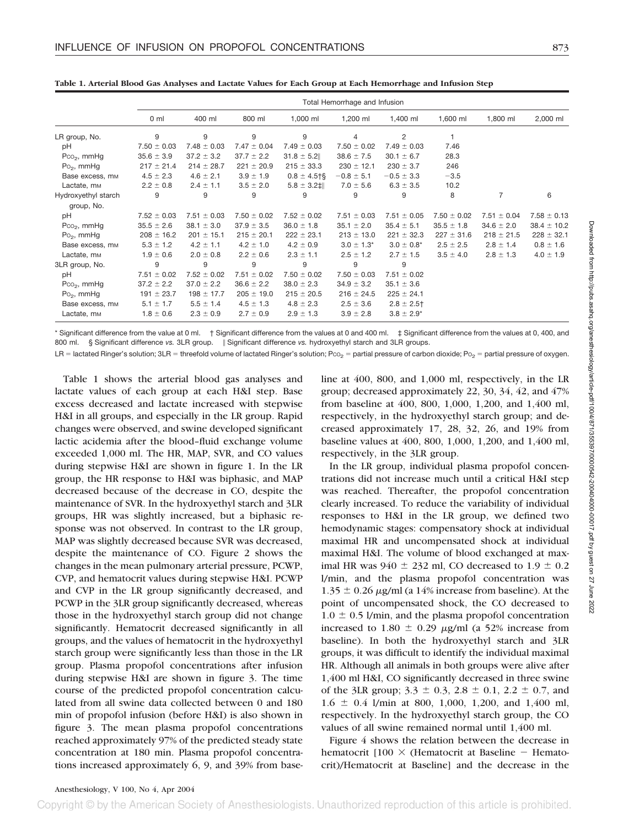|                             | Total Hemorrhage and Infusion |                 |                 |                     |                 |                 |                 |                 |                 |
|-----------------------------|-------------------------------|-----------------|-----------------|---------------------|-----------------|-----------------|-----------------|-----------------|-----------------|
|                             | 0 <sub>m</sub>                | 400 ml          | 800 ml          | 1,000 ml            | 1,200 ml        | 1,400 ml        | 1,600 ml        | 1,800 ml        | 2,000 ml        |
| LR group, No.               | 9                             | 9               | 9               | 9                   | 4               | 2               |                 |                 |                 |
| pH                          | $7.50 \pm 0.03$               | $7.48 \pm 0.03$ | $7.47 \pm 0.04$ | $7.49 \pm 0.03$     | $7.50 \pm 0.02$ | $7.49 \pm 0.03$ | 7.46            |                 |                 |
| $PCO2$ , mmHg               | $35.6 \pm 3.9$                | $37.2 \pm 3.2$  | $37.7 \pm 2.2$  | $31.8 \pm 5.2$      | $38.6 \pm 7.5$  | $30.1 \pm 6.7$  | 28.3            |                 |                 |
| $Po2$ , mmHg                | $217 \pm 21.4$                | $214 \pm 28.7$  | $221 \pm 20.9$  | $215 \pm 33.3$      | $230 \pm 12.1$  | $230 \pm 3.7$   | 246             |                 |                 |
| Base excess, mm             | $4.5 \pm 2.3$                 | $4.6 \pm 2.1$   | $3.9 \pm 1.9$   | $0.8 \pm 4.5$ †§    | $-0.8 \pm 5.1$  | $-0.5 \pm 3.3$  | $-3.5$          |                 |                 |
| Lactate, m <sub>M</sub>     | $2.2 \pm 0.8$                 | $2.4 \pm 1.1$   | $3.5 \pm 2.0$   | $5.8 \pm 3.2$ $\pm$ | $7.0 \pm 5.6$   | $6.3 \pm 3.5$   | 10.2            |                 |                 |
| Hydroxyethyl starch         | 9                             | 9               | 9               | 9                   | 9               | 9               | 8               | 7               | 6               |
| group, No.                  |                               |                 |                 |                     |                 |                 |                 |                 |                 |
| pH                          | $7.52 \pm 0.03$               | $7.51 \pm 0.03$ | $7.50 \pm 0.02$ | $7.52 \pm 0.02$     | $7.51 \pm 0.03$ | $7.51 \pm 0.05$ | $7.50 \pm 0.02$ | $7.51 \pm 0.04$ | $7.58 \pm 0.13$ |
| $PCO2$ , mmHg               | $35.5 \pm 2.6$                | $38.1 \pm 3.0$  | $37.9 \pm 3.5$  | $36.0 \pm 1.8$      | $35.1 \pm 2.0$  | $35.4 \pm 5.1$  | $35.5 \pm 1.8$  | $34.6 \pm 2.0$  | $38.4 \pm 10.2$ |
| $Po2$ , mmHg                | $208 \pm 16.2$                | $201 \pm 15.1$  | $215 \pm 20.1$  | $222 \pm 23.1$      | $213 \pm 13.0$  | $221 \pm 32.3$  | $227 \pm 31.6$  | $218 \pm 21.5$  | $228 \pm 32.1$  |
| Base excess, mm             | $5.3 \pm 1.2$                 | $4.2 \pm 1.1$   | $4.2 \pm 1.0$   | $4.2 \pm 0.9$       | $3.0 \pm 1.3^*$ | $3.0 \pm 0.8^*$ | $2.5 \pm 2.5$   | $2.8 \pm 1.4$   | $0.8 \pm 1.6$   |
| Lactate, m <sub>M</sub>     | $1.9 \pm 0.6$                 | $2.0 \pm 0.8$   | $2.2 \pm 0.6$   | $2.3 \pm 1.1$       | $2.5 \pm 1.2$   | $2.7 \pm 1.5$   | $3.5 \pm 4.0$   | $2.8 \pm 1.3$   | $4.0 \pm 1.9$   |
| 3LR group, No.              | 9                             | 9               | 9               | 9                   | 9               | 9               |                 |                 |                 |
| рH                          | $7.51 \pm 0.02$               | $7.52 \pm 0.02$ | $7.51 \pm 0.02$ | $7.50 \pm 0.02$     | $7.50 \pm 0.03$ | $7.51 \pm 0.02$ |                 |                 |                 |
| $PCO2$ , mmHg               | $37.2 \pm 2.2$                | $37.0 \pm 2.2$  | $36.6 \pm 2.2$  | $38.0 \pm 2.3$      | $34.9 \pm 3.2$  | $35.1 \pm 3.6$  |                 |                 |                 |
| $Po2$ , mmHg                | $191 \pm 23.7$                | $198 \pm 17.7$  | $205 \pm 19.0$  | $215 \pm 20.5$      | $216 \pm 24.5$  | $225 \pm 24.1$  |                 |                 |                 |
| Base excess, m <sub>M</sub> | $5.1 \pm 1.7$                 | $5.5 \pm 1.4$   | $4.5 \pm 1.3$   | $4.8 \pm 2.3$       | $2.5 \pm 3.6$   | $2.8 \pm 2.5$ † |                 |                 |                 |
| Lactate, m <sub>M</sub>     | $1.8 \pm 0.6$                 | $2.3 \pm 0.9$   | $2.7 \pm 0.9$   | $2.9 \pm 1.3$       | $3.9 \pm 2.8$   | $3.8 \pm 2.9^*$ |                 |                 |                 |

**Table 1. Arterial Blood Gas Analyses and Lactate Values for Each Group at Each Hemorrhage and Infusion Step**

\* Significant difference from the value at 0 ml. † Significant difference from the values at 0 and 400 ml. ‡ Significant difference from the values at 0, 400, and 800 ml. § Significant difference vs. 3LR group. || Significant difference vs. hydroxyethyl starch and 3LR groups.

LR = lactated Ringer's solution; 3LR = threefold volume of lactated Ringer's solution; P ${\rm co}_2$  = partial pressure of carbon dioxide; P ${\rm o}_2$  = partial pressure of oxygen.

Table 1 shows the arterial blood gas analyses and lactate values of each group at each H&I step. Base excess decreased and lactate increased with stepwise H&I in all groups, and especially in the LR group. Rapid changes were observed, and swine developed significant lactic acidemia after the blood–fluid exchange volume exceeded 1,000 ml. The HR, MAP, SVR, and CO values during stepwise H&I are shown in figure 1. In the LR group, the HR response to H&I was biphasic, and MAP decreased because of the decrease in CO, despite the maintenance of SVR. In the hydroxyethyl starch and 3LR groups, HR was slightly increased, but a biphasic response was not observed. In contrast to the LR group, MAP was slightly decreased because SVR was decreased, despite the maintenance of CO. Figure 2 shows the changes in the mean pulmonary arterial pressure, PCWP, CVP, and hematocrit values during stepwise H&I. PCWP and CVP in the LR group significantly decreased, and PCWP in the 3LR group significantly decreased, whereas those in the hydroxyethyl starch group did not change significantly. Hematocrit decreased significantly in all groups, and the values of hematocrit in the hydroxyethyl starch group were significantly less than those in the LR group. Plasma propofol concentrations after infusion during stepwise H&I are shown in figure 3. The time course of the predicted propofol concentration calculated from all swine data collected between 0 and 180 min of propofol infusion (before H&I) is also shown in figure 3. The mean plasma propofol concentrations reached approximately 97% of the predicted steady state concentration at 180 min. Plasma propofol concentrations increased approximately 6, 9, and 39% from baseline at 400, 800, and 1,000 ml, respectively, in the LR group; decreased approximately 22, 30, 34, 42, and 47% from baseline at 400, 800, 1,000, 1,200, and 1,400 ml, respectively, in the hydroxyethyl starch group; and decreased approximately 17, 28, 32, 26, and 19% from baseline values at 400, 800, 1,000, 1,200, and 1,400 ml, respectively, in the 3LR group.

In the LR group, individual plasma propofol concentrations did not increase much until a critical H&I step was reached. Thereafter, the propofol concentration clearly increased. To reduce the variability of individual responses to H&I in the LR group, we defined two hemodynamic stages: compensatory shock at individual maximal HR and uncompensated shock at individual maximal H&I. The volume of blood exchanged at maximal HR was  $940 \pm 232$  ml, CO decreased to  $1.9 \pm 0.2$ l/min, and the plasma propofol concentration was  $1.35 \pm 0.26 \,\mu$ g/ml (a 14% increase from baseline). At the point of uncompensated shock, the CO decreased to  $1.0 \pm 0.5$  l/min, and the plasma propofol concentration increased to 1.80  $\pm$  0.29  $\mu$ g/ml (a 52% increase from baseline). In both the hydroxyethyl starch and 3LR groups, it was difficult to identify the individual maximal HR. Although all animals in both groups were alive after 1,400 ml H&I, CO significantly decreased in three swine of the 3LR group;  $3.3 \pm 0.3$ ,  $2.8 \pm 0.1$ ,  $2.2 \pm 0.7$ , and  $1.6 \pm 0.4$  l/min at 800, 1,000, 1,200, and 1,400 ml, respectively. In the hydroxyethyl starch group, the CO values of all swine remained normal until 1,400 ml.

Figure 4 shows the relation between the decrease in hematocrit  $100 \times$  (Hematocrit at Baseline – Hematocrit)/Hematocrit at Baseline] and the decrease in the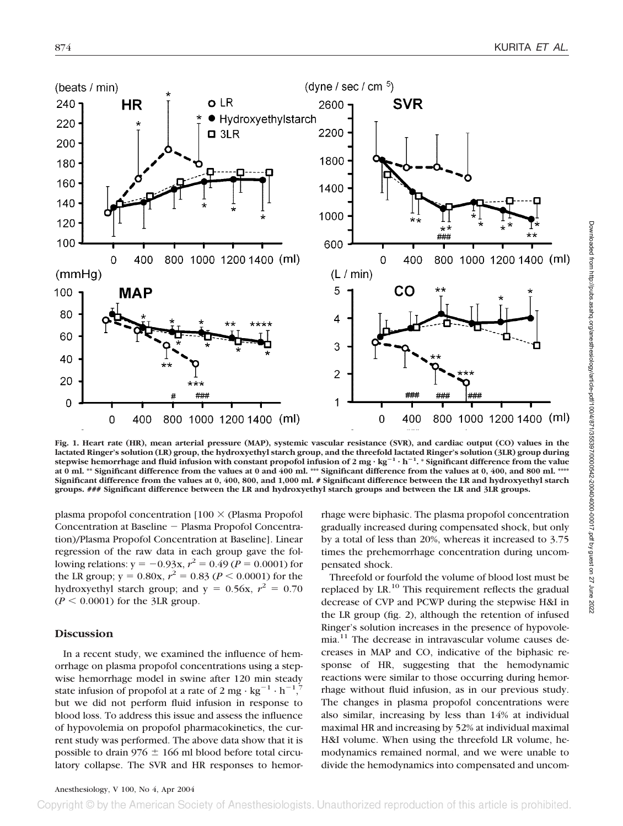

**Fig. 1. Heart rate (HR), mean arterial pressure (MAP), systemic vascular resistance (SVR), and cardiac output (CO) values in the lactated Ringer's solution (LR) group, the hydroxyethyl starch group, and the threefold lactated Ringer's solution (3LR) group during stepwise hemorrhage and fluid infusion with constant propofol infusion of 2 mg · kg**-**<sup>1</sup> · h**-**1 . \* Significant difference from the value at 0 ml. \*\* Significant difference from the values at 0 and 400 ml. \*\*\* Significant difference from the values at 0, 400, and 800 ml. \*\*\*\* Significant difference from the values at 0, 400, 800, and 1,000 ml. # Significant difference between the LR and hydroxyethyl starch groups. ### Significant difference between the LR and hydroxyethyl starch groups and between the LR and 3LR groups.**

plasma propofol concentration  $100 \times$  (Plasma Propofol Concentration at Baseline - Plasma Propofol Concentration)/Plasma Propofol Concentration at Baseline]. Linear regression of the raw data in each group gave the following relations:  $y = -0.93x$ ,  $r^2 = 0.49$  ( $P = 0.0001$ ) for the LR group;  $y = 0.80x$ ,  $r^2 = 0.83$  ( $P < 0.0001$ ) for the hydroxyethyl starch group; and  $y = 0.56x$ ,  $r^2 = 0.70$  $(P \leq 0.0001)$  for the 3LR group.

# **Discussion**

In a recent study, we examined the influence of hemorrhage on plasma propofol concentrations using a stepwise hemorrhage model in swine after 120 min steady state infusion of propofol at a rate of 2 mg  $\cdot$  kg<sup>-1</sup>  $\cdot$  h<sup>-1</sup>,<sup>7</sup> but we did not perform fluid infusion in response to blood loss. To address this issue and assess the influence of hypovolemia on propofol pharmacokinetics, the current study was performed. The above data show that it is possible to drain 976  $\pm$  166 ml blood before total circulatory collapse. The SVR and HR responses to hemorrhage were biphasic. The plasma propofol concentration gradually increased during compensated shock, but only by a total of less than 20%, whereas it increased to 3.75 times the prehemorrhage concentration during uncompensated shock.

Threefold or fourfold the volume of blood lost must be replaced by LR. $^{10}$  This requirement reflects the gradual decrease of CVP and PCWP during the stepwise H&I in the LR group (fig. 2), although the retention of infused Ringer's solution increases in the presence of hypovolemia.11 The decrease in intravascular volume causes decreases in MAP and CO, indicative of the biphasic response of HR, suggesting that the hemodynamic reactions were similar to those occurring during hemorrhage without fluid infusion, as in our previous study. The changes in plasma propofol concentrations were also similar, increasing by less than 14% at individual maximal HR and increasing by 52% at individual maximal H&I volume. When using the threefold LR volume, hemodynamics remained normal, and we were unable to divide the hemodynamics into compensated and uncom-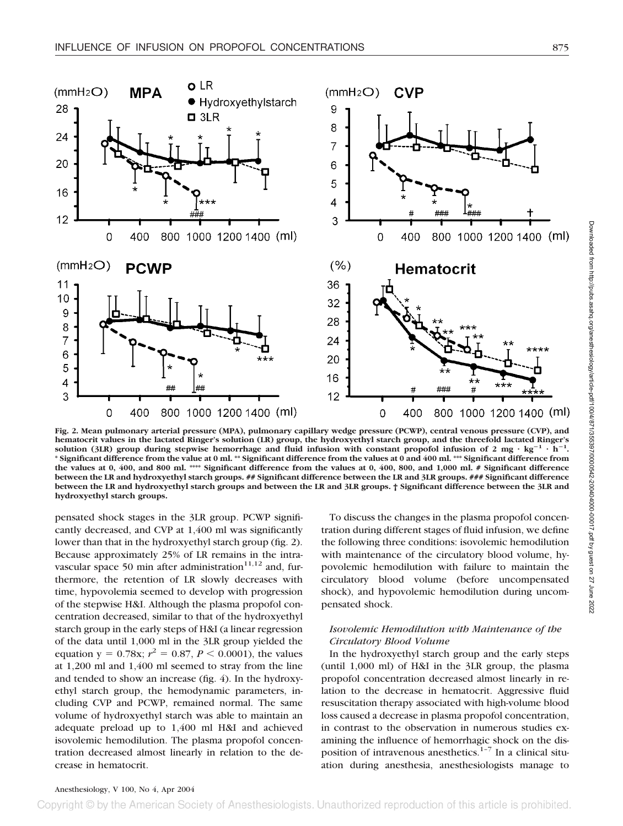

**Fig. 2. Mean pulmonary arterial pressure (MPA), pulmonary capillary wedge pressure (PCWP), central venous pressure (CVP), and hematocrit values in the lactated Ringer's solution (LR) group, the hydroxyethyl starch group, and the threefold lactated Ringer's** solution (3LR) group during stepwise hemorrhage and fluid infusion with constant propofol infusion of 2 mg  $\cdot$  kg<sup>-1</sup>  $\cdot$  h<sup>-1</sup>. **\* Significant difference from the value at 0 ml. \*\* Significant difference from the values at 0 and 400 ml. \*\*\* Significant difference from the values at 0, 400, and 800 ml. \*\*\*\* Significant difference from the values at 0, 400, 800, and 1,000 ml. # Significant difference between the LR and hydroxyethyl starch groups. ## Significant difference between the LR and 3LR groups. ### Significant difference between the LR and hydroxyethyl starch groups and between the LR and 3LR groups. † Significant difference between the 3LR and hydroxyethyl starch groups.**

pensated shock stages in the 3LR group. PCWP significantly decreased, and CVP at 1,400 ml was significantly lower than that in the hydroxyethyl starch group (fig. 2). Because approximately 25% of LR remains in the intravascular space 50 min after administration $11,12$  and, furthermore, the retention of LR slowly decreases with time, hypovolemia seemed to develop with progression of the stepwise H&I. Although the plasma propofol concentration decreased, similar to that of the hydroxyethyl starch group in the early steps of H&I (a linear regression of the data until 1,000 ml in the 3LR group yielded the equation  $y = 0.78x$ ;  $r^2 = 0.87$ ,  $P < 0.0001$ ), the values at 1,200 ml and 1,400 ml seemed to stray from the line and tended to show an increase (fig. 4). In the hydroxyethyl starch group, the hemodynamic parameters, including CVP and PCWP, remained normal. The same volume of hydroxyethyl starch was able to maintain an adequate preload up to 1,400 ml H&I and achieved isovolemic hemodilution. The plasma propofol concentration decreased almost linearly in relation to the decrease in hematocrit.

To discuss the changes in the plasma propofol concentration during different stages of fluid infusion, we define the following three conditions: isovolemic hemodilution with maintenance of the circulatory blood volume, hypovolemic hemodilution with failure to maintain the circulatory blood volume (before uncompensated shock), and hypovolemic hemodilution during uncompensated shock.

#### *Isovolemic Hemodilution with Maintenance of the Circulatory Blood Volume*

In the hydroxyethyl starch group and the early steps (until 1,000 ml) of H&I in the 3LR group, the plasma propofol concentration decreased almost linearly in relation to the decrease in hematocrit. Aggressive fluid resuscitation therapy associated with high-volume blood loss caused a decrease in plasma propofol concentration, in contrast to the observation in numerous studies examining the influence of hemorrhagic shock on the disposition of intravenous anesthetics. $1-7$  In a clinical situation during anesthesia, anesthesiologists manage to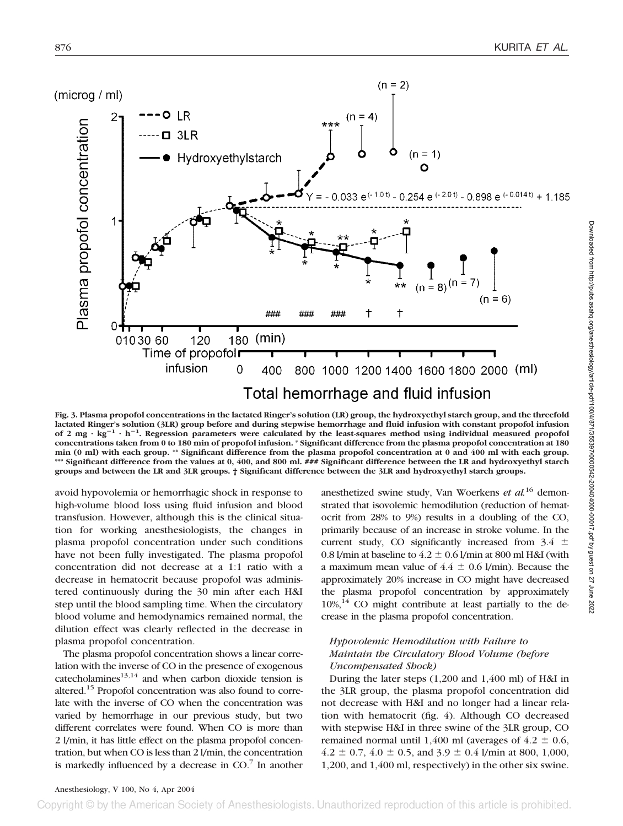

**Fig. 3. Plasma propofol concentrations in the lactated Ringer's solution (LR) group, the hydroxyethyl starch group, and the threefold lactated Ringer's solution (3LR) group before and during stepwise hemorrhage and fluid infusion with constant propofol infusion** of 2 mg  $\cdot$  kg<sup>-1</sup>  $\cdot$  h<sup>-1</sup>. Regression parameters were calculated by the least-squares method using individual measured propofol **concentrations taken from 0 to 180 min of propofol infusion. \* Significant difference from the plasma propofol concentration at 180 min (0 ml) with each group. \*\* Significant difference from the plasma propofol concentration at 0 and 400 ml with each group.** \*\*\* Significant difference from the values at 0, 400, and 800 ml. ### Significant difference between the LR and hydroxyethyl starch **groups and between the LR and 3LR groups. † Significant difference between the 3LR and hydroxyethyl starch groups.**

avoid hypovolemia or hemorrhagic shock in response to high-volume blood loss using fluid infusion and blood transfusion. However, although this is the clinical situation for working anesthesiologists, the changes in plasma propofol concentration under such conditions have not been fully investigated. The plasma propofol concentration did not decrease at a 1:1 ratio with a decrease in hematocrit because propofol was administered continuously during the 30 min after each H&I step until the blood sampling time. When the circulatory blood volume and hemodynamics remained normal, the dilution effect was clearly reflected in the decrease in plasma propofol concentration.

The plasma propofol concentration shows a linear correlation with the inverse of CO in the presence of exogenous catecholamines $13,14$  and when carbon dioxide tension is altered.<sup>15</sup> Propofol concentration was also found to correlate with the inverse of CO when the concentration was varied by hemorrhage in our previous study, but two different correlates were found. When CO is more than 2 l/min, it has little effect on the plasma propofol concentration, but when CO is less than 2 l/min, the concentration is markedly influenced by a decrease in  $CO<sup>7</sup>$  In another anesthetized swine study, Van Woerkens *et al.*<sup>16</sup> demonstrated that isovolemic hemodilution (reduction of hematocrit from 28% to 9%) results in a doubling of the CO, primarily because of an increase in stroke volume. In the current study, CO significantly increased from  $3.4 \pm$ 0.8 l/min at baseline to  $4.2 \pm 0.6$  l/min at 800 ml H&I (with a maximum mean value of  $4.4 \pm 0.6$  l/min). Because the approximately 20% increase in CO might have decreased the plasma propofol concentration by approximately  $10\%,^{14}$  CO might contribute at least partially to the decrease in the plasma propofol concentration.

# *Hypovolemic Hemodilution with Failure to Maintain the Circulatory Blood Volume (before Uncompensated Shock)*

During the later steps (1,200 and 1,400 ml) of H&I in the 3LR group, the plasma propofol concentration did not decrease with H&I and no longer had a linear relation with hematocrit (fig. 4). Although CO decreased with stepwise H&I in three swine of the 3LR group, CO remained normal until 1,400 ml (averages of  $4.2 \pm 0.6$ ,  $4.2 \pm 0.7$ ,  $4.0 \pm 0.5$ , and  $3.9 \pm 0.4$  l/min at 800, 1,000, 1,200, and 1,400 ml, respectively) in the other six swine.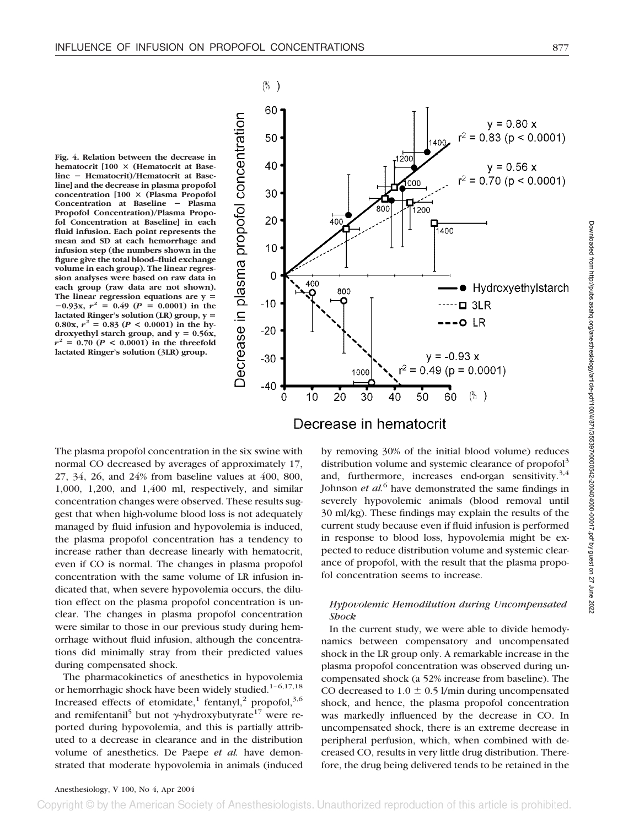**Fig. 4. Relation between the decrease in hematocrit [100 (Hematocrit at Baseline** - **Hematocrit)/Hematocrit at Baseline] and the decrease in plasma propofol concentration [100 (Plasma Propofol Concentration at Baseline** - **Plasma Propofol Concentration)/Plasma Propofol Concentration at Baseline] in each fluid infusion. Each point represents the mean and SD at each hemorrhage and infusion step (the numbers shown in the figure give the total blood–fluid exchange volume in each group). The linear regression analyses were based on raw data in each group (raw data are not shown). The linear regression equations are y**  $-0.93x$ ,  $r^2 = 0.49$  ( $P = 0.0001$ ) in the **lactated Ringer's solution (LR) group, y** 0.80x,  $r^2 = 0.83$  ( $P < 0.0001$ ) in the hydroxyethyl starch group, and  $y = 0.56x$ ,  $r^2 = 0.70$  ( $P < 0.0001$ ) in the threefold **lactated Ringer's solution (3LR) group.**



The plasma propofol concentration in the six swine with normal CO decreased by averages of approximately 17, 27, 34, 26, and 24% from baseline values at 400, 800, 1,000, 1,200, and 1,400 ml, respectively, and similar concentration changes were observed. These results suggest that when high-volume blood loss is not adequately managed by fluid infusion and hypovolemia is induced, the plasma propofol concentration has a tendency to increase rather than decrease linearly with hematocrit, even if CO is normal. The changes in plasma propofol concentration with the same volume of LR infusion indicated that, when severe hypovolemia occurs, the dilution effect on the plasma propofol concentration is unclear. The changes in plasma propofol concentration were similar to those in our previous study during hemorrhage without fluid infusion, although the concentrations did minimally stray from their predicted values during compensated shock.

The pharmacokinetics of anesthetics in hypovolemia or hemorrhagic shock have been widely studied.<sup>1-6,17,18</sup> Increased effects of etomidate,<sup>1</sup> fentanyl,<sup>2</sup> propofol,<sup>3,6</sup> and remifentanil<sup>5</sup> but not  $\gamma$ -hydroxybutyrate<sup>17</sup> were reported during hypovolemia, and this is partially attributed to a decrease in clearance and in the distribution volume of anesthetics. De Paepe *et al.* have demonstrated that moderate hypovolemia in animals (induced

# Decrease in hematocrit

by removing 30% of the initial blood volume) reduces distribution volume and systemic clearance of propofol<sup>3</sup> and, furthermore, increases end-organ sensitivity. $3,4$ Johnson *et al.*<sup>6</sup> have demonstrated the same findings in severely hypovolemic animals (blood removal until 30 ml/kg). These findings may explain the results of the current study because even if fluid infusion is performed in response to blood loss, hypovolemia might be expected to reduce distribution volume and systemic clearance of propofol, with the result that the plasma propofol concentration seems to increase.

# *Hypovolemic Hemodilution during Uncompensated Shock*

In the current study, we were able to divide hemodynamics between compensatory and uncompensated shock in the LR group only. A remarkable increase in the plasma propofol concentration was observed during uncompensated shock (a 52% increase from baseline). The CO decreased to  $1.0 \pm 0.5$  l/min during uncompensated shock, and hence, the plasma propofol concentration was markedly influenced by the decrease in CO. In uncompensated shock, there is an extreme decrease in peripheral perfusion, which, when combined with decreased CO, results in very little drug distribution. Therefore, the drug being delivered tends to be retained in the